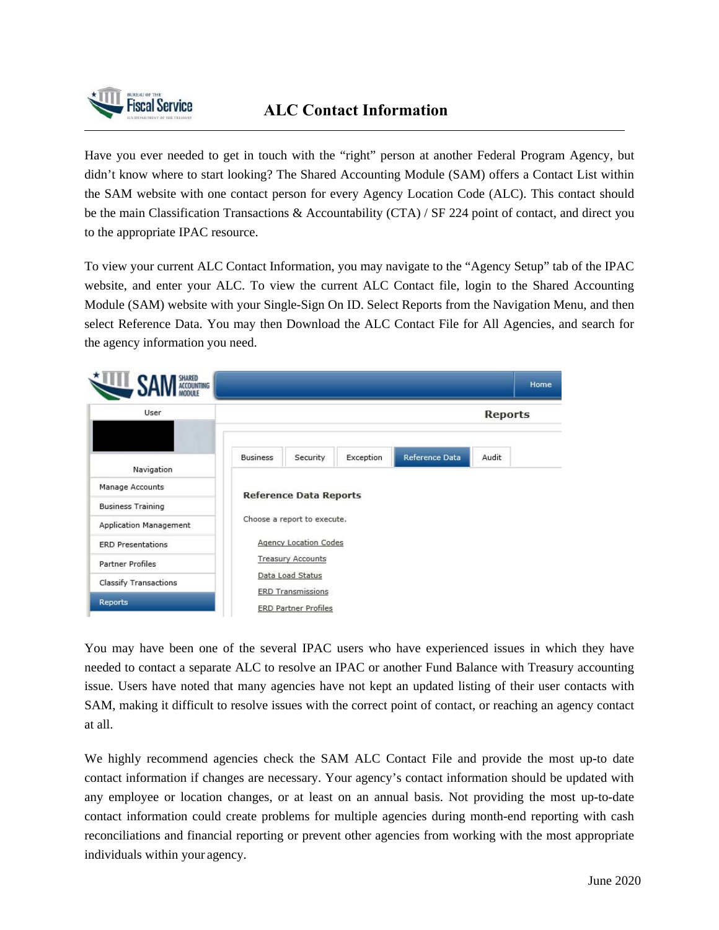

Have you ever needed to get in touch with the "right" person at another Federal Program Agency, but didn't know where to start looking? The Shared Accounting Module (SAM) offers a Contact List within the SAM website with one contact person for every Agency Location Code (ALC). This contact should be the main Classification Transactions & Accountability (CTA) / SF 224 point of contact, and direct you to the appropriate IPAC resource.

To view your current ALC Contact Information, you may navigate to the "Agency Setup" tab of the IPAC website, and enter your ALC. To view the current ALC Contact file, login to the Shared Accounting Module (SAM) website with your Single-Sign On ID. Select Reports from the Navigation Menu, and then select Reference Data. You may then Download the ALC Contact File for All Agencies, and search for the agency information you need.



You may have been one of the several IPAC users who have experienced issues in which they have needed to contact a separate ALC to resolve an IPAC or another Fund Balance with Treasury accounting issue. Users have noted that many agencies have not kept an updated listing of their user contacts with SAM, making it difficult to resolve issues with the correct point of contact, or reaching an agency contact at all.

We highly recommend agencies check the SAM ALC Contact File and provide the most up-to date contact information if changes are necessary. Your agency's contact information should be updated with any employee or location changes, or at least on an annual basis. Not providing the most up-to-date contact information could create problems for multiple agencies during month-end reporting with cash reconciliations and financial reporting or prevent other agencies from working with the most appropriate individuals within your agency.